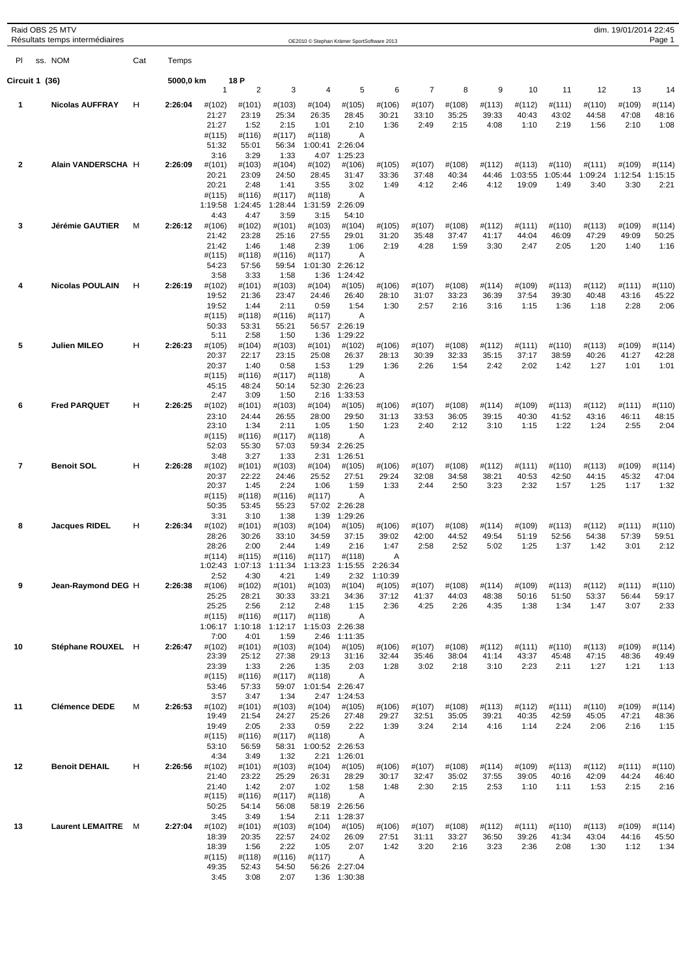|                 | Raid OBS 25 MTV<br>Résultats temps intermédiaires |     |           |                 |                 |                 |                   | OE2010 © Stephan Krämer SportSoftware 2013 |                    |                 |                 |                 |                   |                   |                   | dim. 19/01/2014 22:45 | Page 1            |
|-----------------|---------------------------------------------------|-----|-----------|-----------------|-----------------|-----------------|-------------------|--------------------------------------------|--------------------|-----------------|-----------------|-----------------|-------------------|-------------------|-------------------|-----------------------|-------------------|
| PI              | ss. NOM                                           | Cat | Temps     |                 |                 |                 |                   |                                            |                    |                 |                 |                 |                   |                   |                   |                       |                   |
|                 | Circuit 1 (36)                                    |     | 5000,0 km |                 | 18 P            |                 |                   |                                            |                    |                 |                 |                 |                   |                   |                   |                       |                   |
|                 |                                                   |     |           | $\mathbf{1}$    | $\overline{2}$  | 3               | $\overline{4}$    | 5                                          | 6                  | $\overline{7}$  | 8               | 9               | 10                | 11                | 12                | 13                    | 14                |
| 1               | <b>Nicolas AUFFRAY</b>                            | H   | 2:26:04   | #(102)<br>21:27 | #(101)<br>23:19 | #(103)<br>25:34 | #(104)<br>26:35   | #(105)<br>28:45                            | #(106)<br>30:21    | #(107)<br>33:10 | #(108)<br>35:25 | #(113)<br>39:33 | #(112)<br>40:43   | #(111)<br>43:02   | #(110)<br>44:58   | #(109)<br>47:08       | #(114)<br>48:16   |
|                 |                                                   |     |           | 21:27           | 1:52            | 2:15            | 1:01              | 2:10                                       | 1:36               | 2:49            | 2:15            | 4:08            | 1:10              | 2:19              | 1:56              | 2:10                  | 1:08              |
|                 |                                                   |     |           | #(115)<br>51:32 | #(116)<br>55:01 | #(117)<br>56:34 | #(118)<br>1:00:41 | A<br>2:26:04                               |                    |                 |                 |                 |                   |                   |                   |                       |                   |
|                 |                                                   |     |           | 3:16            | 3:29            | 1:33            | 4:07              | 1:25:23                                    |                    |                 |                 |                 |                   |                   |                   |                       |                   |
| 2               | Alain VANDERSCHA H                                |     | 2:26:09   | #(101)<br>20:21 | #(103)<br>23:09 | #(104)<br>24:50 | #(102)<br>28:45   | #(106)<br>31:47                            | #(105)<br>33:36    | #(107)<br>37:48 | #(108)<br>40:34 | #(112)<br>44:46 | #(113)<br>1:03:55 | #(110)<br>1:05:44 | #(111)<br>1:09:24 | #(109)<br>1:12:54     | #(114)<br>1:15:15 |
|                 |                                                   |     |           | 20:21           | 2:48            | 1:41            | 3:55              | 3:02                                       | 1:49               | 4:12            | 2:46            | 4:12            | 19:09             | 1:49              | 3:40              | 3:30                  | 2:21              |
|                 |                                                   |     |           | #(115)          | #(116)          | #(117)          | #(118)            | A                                          |                    |                 |                 |                 |                   |                   |                   |                       |                   |
|                 |                                                   |     |           | 1:19:58<br>4:43 | 1:24:45<br>4:47 | 1:28:44<br>3:59 | 1:31:59<br>3:15   | 2:26:09<br>54:10                           |                    |                 |                 |                 |                   |                   |                   |                       |                   |
| 3               | <b>Jérémie GAUTIER</b>                            | M   | 2:26:12   | #(106)          | #(102)          | #(101)          | #(103)            | #(104)                                     | #(105)             | #(107)          | #(108)          | #(112)          | #(111)            | #(110)            | #(113)            | #(109)                | #(114)            |
|                 |                                                   |     |           | 21:42<br>21:42  | 23:28<br>1:46   | 25:16<br>1:48   | 27:55<br>2:39     | 29:01<br>1:06                              | 31:20<br>2:19      | 35:48<br>4:28   | 37:47<br>1:59   | 41:17<br>3:30   | 44:04<br>2:47     | 46:09<br>2:05     | 47:29<br>1:20     | 49:09<br>1:40         | 50:25<br>1:16     |
|                 |                                                   |     |           | #(115)          | #(118)          | #(116)          | #(117)            | Α                                          |                    |                 |                 |                 |                   |                   |                   |                       |                   |
|                 |                                                   |     |           | 54:23<br>3:58   | 57:56<br>3:33   | 59:54<br>1:58   | 1:01:30<br>1:36   | 2:26:12<br>1:24:42                         |                    |                 |                 |                 |                   |                   |                   |                       |                   |
| 4               | <b>Nicolas POULAIN</b>                            | н   | 2:26:19   | #(102)          | #(101)          | #(103)          | #(104)            | #(105)                                     | #(106)             | #(107)          | #(108)          | #(114)          | #(109)            | #(113)            | #(112)            | #(111)                | #(110)            |
|                 |                                                   |     |           | 19:52           | 21:36           | 23:47           | 24:46             | 26:40                                      | 28:10              | 31:07           | 33:23           | 36:39           | 37:54             | 39:30             | 40:48             | 43:16                 | 45:22             |
|                 |                                                   |     |           | 19:52<br>#(115) | 1:44<br>#(118)  | 2:11<br>#(116)  | 0:59<br>#(117)    | 1:54<br>Α                                  | 1:30               | 2:57            | 2:16            | 3:16            | 1:15              | 1:36              | 1:18              | 2:28                  | 2:06              |
|                 |                                                   |     |           | 50:33           | 53:31           | 55:21           | 56:57             | 2:26:19                                    |                    |                 |                 |                 |                   |                   |                   |                       |                   |
| 5               | Julien MILEO                                      | н   | 2:26:23   | 5:11<br>#(105)  | 2:58<br>#(104)  | 1:50<br>#(103)  | 1:36<br>#(101)    | 1:29:22<br>#(102)                          | #(106)             | #(107)          | #(108)          | #(112)          | #(111)            | #(110)            | #(113)            | #(109)                | #(114)            |
|                 |                                                   |     |           | 20:37           | 22:17           | 23:15           | 25:08             | 26:37                                      | 28:13              | 30:39           | 32:33           | 35:15           | 37:17             | 38:59             | 40:26             | 41:27                 | 42:28             |
|                 |                                                   |     |           | 20:37<br>#(115) | 1:40<br>#(116)  | 0:58<br>#(117)  | 1:53<br>#(118)    | 1:29<br>A                                  | 1:36               | 2:26            | 1:54            | 2:42            | 2:02              | 1:42              | 1:27              | 1:01                  | 1:01              |
|                 |                                                   |     |           | 45:15           | 48:24           | 50:14           | 52:30             | 2:26:23                                    |                    |                 |                 |                 |                   |                   |                   |                       |                   |
|                 |                                                   | н   |           | 2:47            | 3:09            | 1:50            | 2:16              | 1:33:53                                    |                    |                 |                 |                 |                   |                   |                   |                       |                   |
| 6               | <b>Fred PARQUET</b>                               |     | 2:26:25   | #(102)<br>23:10 | #(101)<br>24:44 | #(103)<br>26:55 | #(104)<br>28:00   | #(105)<br>29:50                            | #(106)<br>31:13    | #(107)<br>33:53 | #(108)<br>36:05 | #(114)<br>39:15 | #(109)<br>40:30   | #(113)<br>41:52   | #(112)<br>43:16   | #(111)<br>46:11       | #(110)<br>48:15   |
|                 |                                                   |     |           | 23:10           | 1:34            | 2:11            | 1:05              | 1:50                                       | 1:23               | 2:40            | 2:12            | 3:10            | 1:15              | 1:22              | 1:24              | 2:55                  | 2:04              |
|                 |                                                   |     |           | #(115)<br>52:03 | #(116)<br>55:30 | #(117)<br>57:03 | #(118)<br>59:34   | Α<br>2:26:25                               |                    |                 |                 |                 |                   |                   |                   |                       |                   |
|                 |                                                   |     |           | 3:48            | 3:27            | 1:33            | 2:31              | 1:26:51                                    |                    |                 |                 |                 |                   |                   |                   |                       |                   |
| 7               | <b>Benoit SOL</b>                                 | н   | 2:26:28   | #(102)<br>20:37 | #(101)<br>22:22 | #(103)<br>24:46 | #(104)<br>25:52   | #(105)<br>27:51                            | #(106)<br>29:24    | #(107)<br>32:08 | #(108)<br>34:58 | #(112)<br>38:21 | #(111)<br>40:53   | #(110)<br>42:50   | #(113)<br>44:15   | #(109)<br>45:32       | #(114)<br>47:04   |
|                 |                                                   |     |           | 20:37           | 1:45            | 2:24            | 1:06              | 1:59                                       | 1:33               | 2:44            | 2:50            | 3:23            | 2:32              | 1:57              | 1:25              | 1:17                  | 1:32              |
|                 |                                                   |     |           | #(115)          | #(118)          | #(116)          | #(117)            | Α                                          |                    |                 |                 |                 |                   |                   |                   |                       |                   |
|                 |                                                   |     |           | 50:35<br>3:31   | 53:45<br>3:10   | 55:23<br>1:38   | 57:02<br>1:39     | 2:26:28<br>1:29:26                         |                    |                 |                 |                 |                   |                   |                   |                       |                   |
| 8               | <b>Jacques RIDEL</b>                              | н   | 2:26:34   | #(102)          | #(101)          | #(103)          | #(104)            | #(105)                                     | #(106)             | #(107)          | #(108)          | #(114)          | #(109)            | #(113)            | #(112)            | #(111)                | #(110)            |
|                 |                                                   |     |           | 28:26<br>28:26  | 30:26<br>2:00   | 33:10<br>2:44   | 34:59<br>1:49     | 37:15<br>2:16                              | 39:02<br>1:47      | 42:00<br>2:58   | 44:52<br>2:52   | 49:54<br>5:02   | 51:19<br>1:25     | 52:56<br>1:37     | 54:38<br>1:42     | 57:39<br>3:01         | 59:51<br>2:12     |
|                 |                                                   |     |           | #(114)          | #(115)          | #(116)          | #(117)            | #(118)                                     | Α                  |                 |                 |                 |                   |                   |                   |                       |                   |
|                 |                                                   |     |           | 1:02:43<br>2:52 | 1:07:13<br>4:30 | 1:11:34<br>4:21 | 1:13:23<br>1:49   | 1:15:55<br>2:32                            | 2:26:34<br>1:10:39 |                 |                 |                 |                   |                   |                   |                       |                   |
| 9               | Jean-Raymond DEG H                                |     | 2:26:38   | #(106)          | #(102)          | #(101)          | #(103)            | #(104)                                     | #(105)             | #(107)          | #(108)          | #(114)          | #(109)            | #(113)            | #(112)            | #(111)                | #(110)            |
|                 |                                                   |     |           | 25:25<br>25:25  | 28:21<br>2:56   | 30:33<br>2:12   | 33:21<br>2:48     | 34:36<br>1:15                              | 37:12<br>2:36      | 41:37<br>4:25   | 44:03<br>2:26   | 48:38<br>4:35   | 50:16<br>1:38     | 51:50<br>1:34     | 53:37<br>1:47     | 56:44<br>3:07         | 59:17             |
|                 |                                                   |     |           | #(115)          | #(116)          | #(117)          | #(118)            | Α                                          |                    |                 |                 |                 |                   |                   |                   |                       | 2:33              |
|                 |                                                   |     |           | 1:06:17         | 1:10:18         | 1:12:17         |                   | 1:15:03 2:26:38                            |                    |                 |                 |                 |                   |                   |                   |                       |                   |
| 10              | Stéphane ROUXEL H                                 |     | 2:26:47   | 7:00<br>#(102)  | 4:01<br>#(101)  | 1:59<br>#(103)  | 2:46<br>#(104)    | 1:11:35<br>#(105)                          | #(106)             | #(107)          | #(108)          | #(112)          | #(111)            | #(110)            | #(113)            | #(109)                | #(114)            |
|                 |                                                   |     |           | 23:39           | 25:12           | 27:38           | 29:13             | 31:16                                      | 32:44              | 35:46           | 38:04           | 41:14           | 43:37             | 45:48             | 47:15             | 48:36                 | 49:49             |
|                 |                                                   |     |           | 23:39<br>#(115) | 1:33<br>#(116)  | 2:26<br>#(117)  | 1:35<br>#(118)    | 2:03<br>Α                                  | 1:28               | 3:02            | 2:18            | 3:10            | 2:23              | 2:11              | 1:27              | 1:21                  | 1:13              |
|                 |                                                   |     |           | 53:46           | 57:33           | 59:07           |                   | 1:01:54 2:26:47                            |                    |                 |                 |                 |                   |                   |                   |                       |                   |
| 11              | Clémence DEDE                                     | М   |           | 3:57<br>#(102)  | 3:47            | 1:34            | 2:47              | 1:24:53                                    |                    |                 |                 |                 |                   |                   |                   |                       |                   |
|                 |                                                   |     | 2:26:53   | 19:49           | #(101)<br>21:54 | #(103)<br>24:27 | #(104)<br>25:26   | #(105)<br>27:48                            | #(106)<br>29:27    | #(107)<br>32:51 | #(108)<br>35:05 | #(113)<br>39:21 | #(112)<br>40:35   | #(111)<br>42:59   | #(110)<br>45:05   | #(109)<br>47:21       | #(114)<br>48:36   |
|                 |                                                   |     |           | 19:49           | 2:05            | 2:33            | 0:59              | 2:22                                       | 1:39               | 3:24            | 2:14            | 4:16            | 1:14              | 2:24              | 2:06              | 2:16                  | 1:15              |
|                 |                                                   |     |           | #(115)<br>53:10 | #(116)<br>56:59 | #(117)<br>58:31 | #(118)            | Α<br>1:00:52 2:26:53                       |                    |                 |                 |                 |                   |                   |                   |                       |                   |
|                 |                                                   |     |           | 4:34            | 3:49            | 1:32            | 2:21              | 1:26:01                                    |                    |                 |                 |                 |                   |                   |                   |                       |                   |
| 12 <sup>2</sup> | <b>Benoit DEHAIL</b>                              | H   | 2:26:56   | #(102)<br>21:40 | #(101)<br>23:22 | #(103)<br>25:29 | #(104)<br>26:31   | #(105)<br>28:29                            | #(106)<br>30:17    | #(107)<br>32:47 | #(108)<br>35:02 | #(114)<br>37:55 | #(109)<br>39:05   | #(113)<br>40:16   | #(112)<br>42:09   | #(111)<br>44:24       | #(110)<br>46:40   |
|                 |                                                   |     |           | 21:40           | 1:42            | 2:07            | 1:02              | 1:58                                       | 1:48               | 2:30            | 2:15            | 2:53            | 1:10              | 1:11              | 1:53              | 2:15                  | 2:16              |
|                 |                                                   |     |           | #(115)          | #(116)          | #(117)          | #(118)            | Α                                          |                    |                 |                 |                 |                   |                   |                   |                       |                   |
|                 |                                                   |     |           | 50:25<br>3:45   | 54:14<br>3:49   | 56:08<br>1:54   |                   | 58:19 2:26:56<br>2:11 1:28:37              |                    |                 |                 |                 |                   |                   |                   |                       |                   |
| 13              | Laurent LEMAITRE M                                |     | 2:27:04   | #(102)          | #(101)          | #(103)          | #(104)            | #(105)                                     | #(106)             | #(107)          | #(108)          | #(112)          | #(111)            | #(110)            | #(113)            | #(109)                | #(114)            |
|                 |                                                   |     |           | 18:39<br>18:39  | 20:35<br>1:56   | 22:57<br>2:22   | 24:02<br>1:05     | 26:09<br>2:07                              | 27:51<br>1:42      | 31:11<br>3:20   | 33:27<br>2:16   | 36:50<br>3:23   | 39:26<br>2:36     | 41:34<br>2:08     | 43:04<br>1:30     | 44:16<br>1:12         | 45:50<br>1:34     |
|                 |                                                   |     |           | #(115)          | #(118)          | #(116)          | #(117)            | Α                                          |                    |                 |                 |                 |                   |                   |                   |                       |                   |
|                 |                                                   |     |           | 49:35<br>3:45   | 52:43<br>3:08   | 54:50<br>2:07   |                   | 56:26 2:27:04<br>1:36 1:30:38              |                    |                 |                 |                 |                   |                   |                   |                       |                   |
|                 |                                                   |     |           |                 |                 |                 |                   |                                            |                    |                 |                 |                 |                   |                   |                   |                       |                   |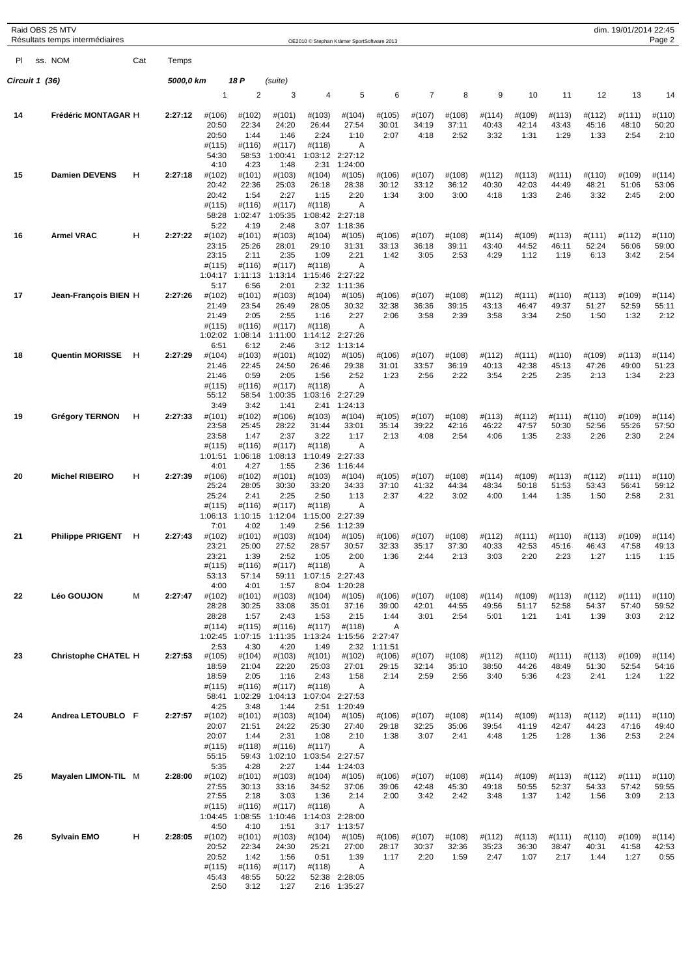|    | Raid OBS 25 MTV<br>Résultats temps intermédiaires |     |           |                                                               |                                                              |                                                              |                                                      | OE2010 © Stephan Krämer SportSoftware 2013                                    |                                                    |                         |                         |                         |                             |                         |                         | dim. 19/01/2014 22:45   | Page 2                  |
|----|---------------------------------------------------|-----|-----------|---------------------------------------------------------------|--------------------------------------------------------------|--------------------------------------------------------------|------------------------------------------------------|-------------------------------------------------------------------------------|----------------------------------------------------|-------------------------|-------------------------|-------------------------|-----------------------------|-------------------------|-------------------------|-------------------------|-------------------------|
| PI | ss. NOM                                           | Cat | Temps     |                                                               |                                                              |                                                              |                                                      |                                                                               |                                                    |                         |                         |                         |                             |                         |                         |                         |                         |
|    | Circuit 1 (36)                                    |     | 5000,0 km |                                                               | 18 P                                                         | (suite)                                                      |                                                      |                                                                               |                                                    |                         |                         |                         |                             |                         |                         |                         |                         |
|    |                                                   |     |           | 1                                                             | $\overline{2}$                                               | 3                                                            | 4                                                    | 5                                                                             | 6                                                  | 7                       | 8                       | 9                       | 10                          | 11                      | 12                      | 13                      | 14                      |
| 14 | Frédéric MONTAGAR H                               |     | 2:27:12   | #(106)<br>20:50<br>20:50<br>$\#(115)$                         | #(102)<br>22:34<br>1:44<br>#(116)                            | #(101)<br>24:20<br>1:46<br>#(117)                            | #(103)<br>26:44<br>2:24<br>#(118)                    | #(104)<br>27:54<br>1:10<br>Α                                                  | #(105)<br>30:01<br>2:07                            | #(107)<br>34:19<br>4:18 | #(108)<br>37:11<br>2:52 | #(114)<br>40:43<br>3:32 | #(109)<br>42:14<br>1:31     | #(113)<br>43:43<br>1:29 | #(112)<br>45:16<br>1:33 | #(111)<br>48:10<br>2:54 | #(110)<br>50:20<br>2:10 |
| 15 | <b>Damien DEVENS</b>                              | н   | 2:27:18   | 54:30<br>4:10<br>#(102)                                       | 58:53<br>4:23<br>#(101)                                      | 1:00:41<br>1:48<br>#(103)                                    | 2:31<br>#(104)                                       | 1:03:12 2:27:12<br>1:24:00<br>#(105)                                          | #(106)                                             | #(107)                  | #(108)                  | #(112)                  | #(113)                      | #(111)                  | #(110)                  | #(109)                  | #(114)                  |
|    |                                                   |     |           | 20:42<br>20:42<br>#(115)<br>58:28<br>5:22                     | 22:36<br>1:54<br>#(116)<br>1:02:47<br>4:19                   | 25:03<br>2:27<br>#(117)<br>1:05:35<br>2:48                   | 26:18<br>1:15<br>#(118)<br>3:07                      | 28:38<br>2:20<br>Α<br>1:08:42 2:27:18<br>1:18:36                              | 30:12<br>1:34                                      | 33:12<br>3:00           | 36:12<br>3:00           | 40:30<br>4:18           | 42:03<br>1:33               | 44:49<br>2:46           | 48:21<br>3:32           | 51:06<br>2:45           | 53:06<br>2:00           |
| 16 | <b>Armel VRAC</b>                                 | н   | 2:27:22   | #(102)<br>23:15<br>23:15<br>$\#(115)$<br>1:04:17              | #(101)<br>25:26<br>2:11<br>#(116)<br>1:11:13                 | #(103)<br>28:01<br>2:35<br>#(117)<br>1:13:14                 | #(104)<br>29:10<br>1:09<br>#(118)                    | #(105)<br>31:31<br>2:21<br>Α<br>1:15:46 2:27:22                               | #(106)<br>33:13<br>1:42                            | #(107)<br>36:18<br>3:05 | #(108)<br>39:11<br>2:53 | #(114)<br>43:40<br>4:29 | #(109)<br>44:52<br>1:12     | #(113)<br>46:11<br>1:19 | #(111)<br>52:24<br>6:13 | #(112)<br>56:06<br>3:42 | #(110)<br>59:00<br>2:54 |
| 17 | Jean-François BIEN H                              |     | 2:27:26   | 5:17<br>#(102)<br>21:49<br>21:49<br>$\#(115)$<br>1:02:02      | 6:56<br>#(101)<br>23:54<br>2:05<br>#(116)<br>1:08:14         | 2:01<br>#(103)<br>26:49<br>2:55<br>#(117)<br>1:11:00         | 2:32<br>#(104)<br>28:05<br>1:16<br>#(118)            | 1:11:36<br>#(105)<br>30:32<br>2:27<br>A<br>1:14:12 2:27:26                    | #(106)<br>32:38<br>2:06                            | #(107)<br>36:36<br>3:58 | #(108)<br>39:15<br>2:39 | #(112)<br>43:13<br>3:58 | #(111)<br>46:47<br>3:34     | #(110)<br>49:37<br>2:50 | #(113)<br>51:27<br>1:50 | #(109)<br>52:59<br>1:32 | #(114)<br>55:11<br>2:12 |
| 18 | <b>Quentin MORISSE</b>                            | н   | 2:27:29   | 6:51<br>#(104)<br>21:46<br>21:46<br>#(115)<br>55:12           | 6:12<br>#(103)<br>22:45<br>0:59<br>#(116)<br>58:54           | 2:46<br>#(101)<br>24:50<br>2:05<br>#(117)<br>1:00:35         | #(102)<br>26:46<br>1:56<br>#(118)                    | 3:12 1:13:14<br>#(105)<br>29:38<br>2:52<br>Α<br>1:03:16 2:27:29               | #(106)<br>31:01<br>1:23                            | #(107)<br>33:57<br>2:56 | #(108)<br>36:19<br>2:22 | #(112)<br>40:13<br>3:54 | #(111)<br>42:38<br>2:25     | #(110)<br>45:13<br>2:35 | #(109)<br>47:26<br>2:13 | #(113)<br>49:00<br>1:34 | #(114)<br>51:23<br>2:23 |
| 19 | <b>Grégory TERNON</b>                             | н   | 2:27:33   | 3:49<br>#(101)<br>23:58<br>23:58<br>$\#(115)$<br>1:01:51      | 3:42<br>#(102)<br>25:45<br>1:47<br>#(116)<br>1:06:18         | 1:41<br>#(106)<br>28:22<br>2:37<br>#(117)<br>1:08:13         | 2:41<br>#(103)<br>31:44<br>3:22<br>#(118)<br>1:10:49 | 1:24:13<br>#(104)<br>33:01<br>1:17<br>A<br>2:27:33                            | #(105)<br>35:14<br>2:13                            | #(107)<br>39:22<br>4:08 | #(108)<br>42:16<br>2:54 | #(113)<br>46:22<br>4:06 | #(112)<br>47:57<br>1:35     | #(111)<br>50:30<br>2:33 | #(110)<br>52:56<br>2:26 | #(109)<br>55:26<br>2:30 | #(114)<br>57:50<br>2:24 |
| 20 | <b>Michel RIBEIRO</b>                             | н   | 2:27:39   | 4:01<br>#(106)<br>25:24<br>25:24<br>#(115)<br>1:06:13<br>7:01 | 4:27<br>#(102)<br>28:05<br>2:41<br>#(116)<br>1:10:15<br>4:02 | 1:55<br>#(101)<br>30:30<br>2:25<br>#(117)<br>1:12:04<br>1:49 | 2:36<br>#(103)<br>33:20<br>2:50<br>#(118)<br>2:56    | 1:16:44<br>#(104)<br>34:33<br>1:13<br>Α<br>1:15:00 2:27:39<br>1:12:39         | #(105)<br>37:10<br>2:37                            | #(107)<br>41:32<br>4:22 | #(108)<br>44:34<br>3:02 | #(114)<br>48:34<br>4:00 | #(109)<br>50:18<br>1:44     | #(113)<br>51:53<br>1:35 | #(112)<br>53:43<br>1:50 | #(111)<br>56:41<br>2:58 | #(110)<br>59:12<br>2:31 |
| 21 | <b>Philippe PRIGENT</b>                           | H   | 2:27:43   | #(102)<br>23:21<br>23:21<br>#(115)<br>53:13<br>4:00           | #(101)<br>25:00<br>1:39<br>#(116)<br>57:14<br>4:01           | #(103)<br>27:52<br>2:52<br>#(117)<br>59:11<br>1:57           | #(104)<br>28:57<br>1:05<br>#(118)                    | #(105)<br>30:57<br>2:00<br>Α<br>1:07:15 2:27:43<br>8:04 1:20:28               | #(106)<br>32:33<br>1:36                            | #(107)<br>35:17<br>2:44 | #(108)<br>37:30<br>2:13 | #(112)<br>40:33<br>3:03 | $\#$ (111)<br>42:53<br>2:20 | #(110)<br>45:16<br>2:23 | #(113)<br>46:43<br>1:27 | #(109)<br>47:58<br>1:15 | #(114)<br>49:13<br>1:15 |
| 22 | Léo GOUJON                                        | М   | 2:27:47   | #(102)<br>28:28<br>28:28<br>#(114)<br>1:02:45<br>2:53         | #(101)<br>30:25<br>1:57<br>#(115)<br>1:07:15<br>4:30         | #(103)<br>33:08<br>2:43<br>#(116)<br>1:11:35<br>4:20         | #(104)<br>35:01<br>1:53<br>#(117)<br>1:49            | #(105)<br>37:16<br>2:15<br>#(118)<br>1:13:24 1:15:56<br>2:32                  | #(106)<br>39:00<br>1:44<br>Α<br>2:27:47<br>1:11:51 | #(107)<br>42:01<br>3:01 | #(108)<br>44:55<br>2:54 | #(114)<br>49:56<br>5:01 | #(109)<br>51:17<br>1:21     | #(113)<br>52:58<br>1:41 | #(112)<br>54:37<br>1:39 | #(111)<br>57:40<br>3:03 | #(110)<br>59:52<br>2:12 |
| 23 | Christophe CHATEL H                               |     | 2:27:53   | #(105)<br>18:59<br>18:59<br>#(115)<br>58:41<br>4:25           | #(104)<br>21:04<br>2:05<br>#(116)<br>1:02:29<br>3:48         | #(103)<br>22:20<br>1:16<br>#(117)<br>1:04:13<br>1:44         | #(101)<br>25:03<br>2:43<br>#(118)                    | #(102)<br>27:01<br>1:58<br>Α<br>1:07:04 2:27:53<br>2:51 1:20:49               | #(106)<br>29:15<br>2:14                            | #(107)<br>32:14<br>2:59 | #(108)<br>35:10<br>2:56 | #(112)<br>38:50<br>3:40 | #(110)<br>44:26<br>5:36     | #(111)<br>48:49<br>4:23 | #(113)<br>51:30<br>2:41 | #(109)<br>52:54<br>1:24 | #(114)<br>54:16<br>1:22 |
| 24 | Andrea LETOUBLO F                                 |     | 2:27:57   | #(102)<br>20:07<br>20:07<br>#(115)<br>55:15                   | #(101)<br>21:51<br>1:44<br>#(118)<br>59:43                   | #(103)<br>24:22<br>2:31<br>#(116)<br>1:02:10                 | #(104)<br>25:30<br>1:08<br>#(117)                    | #(105)<br>27:40<br>2:10<br>Α<br>1:03:54 2:27:57                               | $\#(106)$<br>29:18<br>1:38                         | #(107)<br>32:25<br>3:07 | #(108)<br>35:06<br>2:41 | #(114)<br>39:54<br>4:48 | #(109)<br>41:19<br>1:25     | #(113)<br>42:47<br>1:28 | #(112)<br>44:23<br>1:36 | #(111)<br>47:16<br>2:53 | #(110)<br>49:40<br>2:24 |
| 25 | Mayalen LIMON-TIL M                               |     | 2:28:00   | 5:35<br>#(102)<br>27:55<br>27:55<br>$\#(115)$<br>1:04:45      | 4:28<br>#(101)<br>30:13<br>2:18<br>#(116)<br>1:08:55         | 2:27<br>#(103)<br>33:16<br>3:03<br>#(117)<br>1:10:46         | #(104)<br>34:52<br>1:36<br>#(118)                    | 1:44 1:24:03<br>#(105)<br>37:06<br>2:14<br>Α<br>1:14:03 2:28:00               | #(106)<br>39:06<br>2:00                            | #(107)<br>42:48<br>3:42 | #(108)<br>45:30<br>2:42 | #(114)<br>49:18<br>3:48 | #(109)<br>50:55<br>1:37     | #(113)<br>52:37<br>1:42 | #(112)<br>54:33<br>1:56 | #(111)<br>57:42<br>3:09 | #(110)<br>59:55<br>2:13 |
| 26 | <b>Sylvain EMO</b>                                | н   | 2:28:05   | 4:50<br>#(102)<br>20:52<br>20:52<br>#(115)<br>45:43<br>2:50   | 4:10<br>#(101)<br>22:34<br>1:42<br>#(116)<br>48:55<br>3:12   | 1:51<br>#(103)<br>24:30<br>1:56<br>#(117)<br>50:22<br>1:27   | #(104)<br>25:21<br>0:51<br>#(118)                    | 3:17 1:13:57<br>#(105)<br>27:00<br>1:39<br>Α<br>52:38 2:28:05<br>2:16 1:35:27 | #(106)<br>28:17<br>1:17                            | #(107)<br>30:37<br>2:20 | #(108)<br>32:36<br>1:59 | #(112)<br>35:23<br>2:47 | #(113)<br>36:30<br>1:07     | #(111)<br>38:47<br>2:17 | #(110)<br>40:31<br>1:44 | #(109)<br>41:58<br>1:27 | #(114)<br>42:53<br>0:55 |